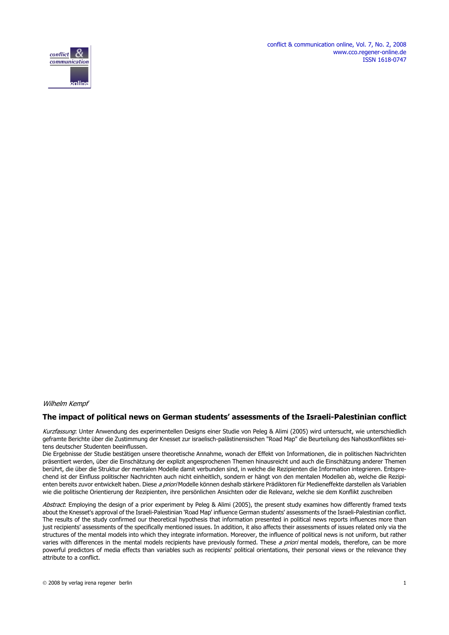conflict & communication online, Vol. 7, No. 2, 2008 www.cco.regener-online.de ISSN 1618-0747



#### Wilhelm Kempf

#### **The impact of political news on German students' assessments of the Israeli-Palestinian conflict**

Kurzfassung: Unter Anwendung des experimentellen Designs einer Studie von Peleg & Alimi (2005) wird untersucht, wie unterschiedlich geframte Berichte über die Zustimmung der Knesset zur israelisch-palästinensischen "Road Map" die Beurteilung des Nahostkonfliktes seitens deutscher Studenten beeinflussen.

Die Ergebnisse der Studie bestätigen unsere theoretische Annahme, wonach der Effekt von Informationen, die in politischen Nachrichten präsentiert werden, über die Einschätzung der explizit angesprochenen Themen hinausreicht und auch die Einschätzung anderer Themen berührt, die über die Struktur der mentalen Modelle damit verbunden sind, in welche die Rezipienten die Information integrieren. Entsprechend ist der Einfluss politischer Nachrichten auch nicht einheitlich, sondern er hängt von den mentalen Modellen ab, welche die Rezipienten bereits zuvor entwickelt haben. Diese a priori Modelle können deshalb stärkere Prädiktoren für Medieneffekte darstellen als Variablen wie die politische Orientierung der Rezipienten, ihre persönlichen Ansichten oder die Relevanz, welche sie dem Konflikt zuschreiben

Abstract: Employing the design of a prior experiment by Peleg & Alimi (2005), the present study examines how differently framed texts about the Knesset's approval of the Israeli-Palestinian 'Road Map' influence German students' assessments of the Israeli-Palestinian conflict. The results of the study confirmed our theoretical hypothesis that information presented in political news reports influences more than just recipients' assessments of the specifically mentioned issues. In addition, it also affects their assessments of issues related only via the structures of the mental models into which they integrate information. Moreover, the influence of political news is not uniform, but rather varies with differences in the mental models recipients have previously formed. These a priori mental models, therefore, can be more powerful predictors of media effects than variables such as recipients' political orientations, their personal views or the relevance they attribute to a conflict.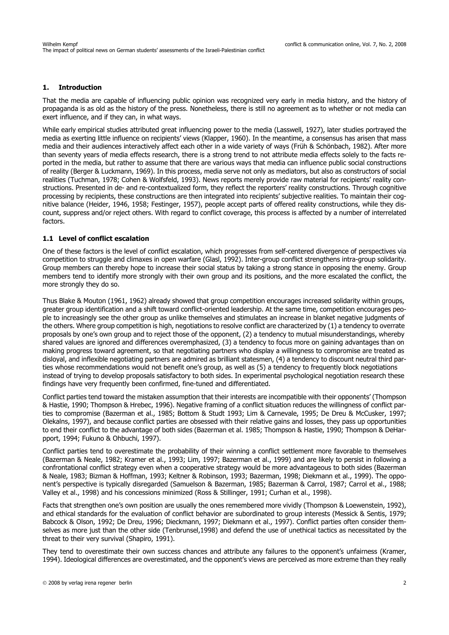#### **1. Introduction**

That the media are capable of influencing public opinion was recognized very early in media history, and the history of propaganda is as old as the history of the press. Nonetheless, there is still no agreement as to whether or not media can exert influence, and if they can, in what ways.

While early empirical studies attributed great influencing power to the media (Lasswell, 1927), later studies portrayed the media as exerting little influence on recipients' views (Klapper, 1960). In the meantime, a consensus has arisen that mass media and their audiences interactively affect each other in a wide variety of ways (Früh & Schönbach, 1982). After more than seventy years of media effects research, there is a strong trend to not attribute media effects solely to the facts reported in the media, but rather to assume that there are various ways that media can influence public social constructions of reality (Berger & Luckmann, 1969). In this process, media serve not only as mediators, but also as constructors of social realities (Tuchman, 1978; Cohen & Wolfsfeld, 1993). News reports merely provide raw material for recipients' reality constructions. Presented in de- and re-contextualized form, they reflect the reporters' reality constructions. Through cognitive processing by recipients, these constructions are then integrated into recipients' subjective realities. To maintain their cognitive balance (Heider, 1946, 1958; Festinger, 1957), people accept parts of offered reality constructions, while they discount, suppress and/or reject others. With regard to conflict coverage, this process is affected by a number of interrelated factors.

#### **1.1 Level of conflict escalation**

One of these factors is the level of conflict escalation, which progresses from self-centered divergence of perspectives via competition to struggle and climaxes in open warfare (Glasl, 1992). Inter-group conflict strengthens intra-group solidarity. Group members can thereby hope to increase their social status by taking a strong stance in opposing the enemy. Group members tend to identify more strongly with their own group and its positions, and the more escalated the conflict, the more strongly they do so.

Thus Blake & Mouton (1961, 1962) already showed that group competition encourages increased solidarity within groups, greater group identification and a shift toward conflict-oriented leadership. At the same time, competition encourages people to increasingly see the other group as unlike themselves and stimulates an increase in blanket negative judgments of the others. Where group competition is high, negotiations to resolve conflict are characterized by (1) a tendency to overrate proposals by one's own group and to reject those of the opponent, (2) a tendency to mutual misunderstandings, whereby shared values are ignored and differences overemphasized, (3) a tendency to focus more on gaining advantages than on making progress toward agreement, so that negotiating partners who display a willingness to compromise are treated as disloyal, and inflexible negotiating partners are admired as brilliant statesmen, (4) a tendency to discount neutral third parties whose recommendations would not benefit one's group, as well as (5) a tendency to frequently block negotiations instead of trying to develop proposals satisfactory to both sides. In experimental psychological negotiation research these findings have very frequently been confirmed, fine-tuned and differentiated.

Conflict parties tend toward the mistaken assumption that their interests are incompatible with their opponents' (Thompson & Hastie, 1990; Thompson & Hrebec, 1996). Negative framing of a conflict situation reduces the willingness of conflict parties to compromise (Bazerman et al., 1985; Bottom & Studt 1993; Lim & Carnevale, 1995; De Dreu & McCusker, 1997; Olekalns, 1997), and because conflict parties are obsessed with their relative gains and losses, they pass up opportunities to end their conflict to the advantage of both sides (Bazerman et al. 1985; Thompson & Hastie, 1990; Thompson & DeHarpport, 1994; Fukuno & Ohbuchi, 1997).

Conflict parties tend to overestimate the probability of their winning a conflict settlement more favorable to themselves (Bazerman & Neale, 1982; Kramer et al., 1993; Lim, 1997; Bazerman et al., 1999) and are likely to persist in following a confrontational conflict strategy even when a cooperative strategy would be more advantageous to both sides (Bazerman & Neale, 1983; Bizman & Hoffman, 1993; Keltner & Robinson, 1993; Bazerman, 1998; Diekmann et al., 1999). The opponent's perspective is typically disregarded (Samuelson & Bazerman, 1985; Bazerman & Carrol, 1987; Carrol et al., 1988; Valley et al., 1998) and his concessions minimized (Ross & Stillinger, 1991; Curhan et al., 1998).

Facts that strengthen one's own position are usually the ones remembered more vividly (Thompson & Loewenstein, 1992), and ethical standards for the evaluation of conflict behavior are subordinated to group interests (Messick & Sentis, 1979; Babcock & Olson, 1992; De Dreu, 1996; Dieckmann, 1997; Diekmann et al., 1997). Conflict parties often consider themselves as more just than the other side (Tenbrunsel,1998) and defend the use of unethical tactics as necessitated by the threat to their very survival (Shapiro, 1991).

They tend to overestimate their own success chances and attribute any failures to the opponent's unfairness (Kramer, 1994). Ideological differences are overestimated, and the opponent's views are perceived as more extreme than they really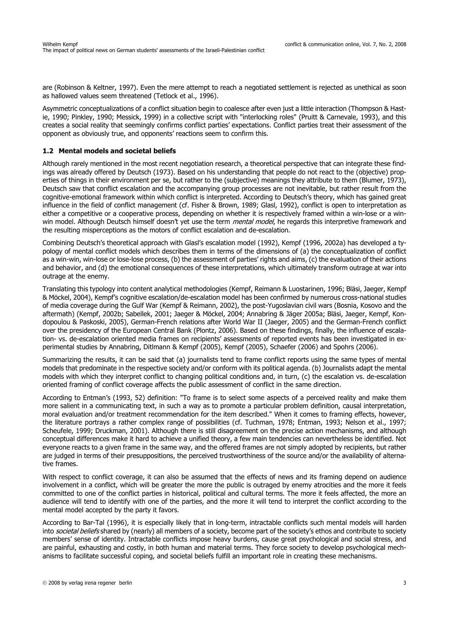are (Robinson & Keltner, 1997). Even the mere attempt to reach a negotiated settlement is rejected as unethical as soon as hallowed values seem threatened (Tetlock et al., 1996).

Asymmetric conceptualizations of a conflict situation begin to coalesce after even just a little interaction (Thompson & Hastie, 1990; Pinkley, 1990; Messick, 1999) in a collective script with "interlocking roles" (Pruitt & Carnevale, 1993), and this creates a social reality that seemingly confirms conflict parties' expectations. Conflict parties treat their assessment of the opponent as obviously true, and opponents' reactions seem to confirm this.

#### **1.2 Mental models and societal beliefs**

Although rarely mentioned in the most recent negotiation research, a theoretical perspective that can integrate these findings was already offered by Deutsch (1973). Based on his understanding that people do not react to the (objective) properties of things in their environment per se, but rather to the (subjective) meanings they attribute to them (Blumer, 1973), Deutsch saw that conflict escalation and the accompanying group processes are not inevitable, but rather result from the cognitive-emotional framework within which conflict is interpreted. According to Deutsch's theory, which has gained great influence in the field of conflict management (cf. Fisher & Brown, 1989; Glasl, 1992), conflict is open to interpretation as either a competitive or a cooperative process, depending on whether it is respectively framed within a win-lose or a winwin model. Although Deutsch himself doesn't yet use the term mental model, he regards this interpretive framework and the resulting misperceptions as the motors of conflict escalation and de-escalation.

Combining Deutsch's theoretical approach with Glasl's escalation model (1992), Kempf (1996, 2002a) has developed a typology of mental conflict models which describes them in terms of the dimensions of (a) the conceptualization of conflict as a win-win, win-lose or lose-lose process, (b) the assessment of parties' rights and aims, (c) the evaluation of their actions and behavior, and (d) the emotional consequences of these interpretations, which ultimately transform outrage at war into outrage at the enemy.

Translating this typology into content analytical methodologies (Kempf, Reimann & Luostarinen, 1996; Bläsi, Jaeger, Kempf & Möckel, 2004), Kempf's cognitive escalation/de-escalation model has been confirmed by numerous cross-national studies of media coverage during the Gulf War (Kempf & Reimann, 2002), the post-Yugoslavian civil wars (Bosnia, Kosovo and the aftermath) (Kempf, 2002b; Sabellek, 2001; Jaeger & Möckel, 2004; Annabring & Jäger 2005a; Bläsi, Jaeger, Kempf, Kondopoulou & Paskoski, 2005), German-French relations after World War II (Jaeger, 2005) and the German-French conflict over the presidency of the European Central Bank (Plontz, 2006). Based on these findings, finally, the influence of escalation- vs. de-escalation oriented media frames on recipients' assessments of reported events has been investigated in experimental studies by Annabring, Ditlmann & Kempf (2005), Kempf (2005), Schaefer (2006) and Spohrs (2006).

Summarizing the results, it can be said that (a) journalists tend to frame conflict reports using the same types of mental models that predominate in the respective society and/or conform with its political agenda. (b) Journalists adapt the mental models with which they interpret conflict to changing political conditions and, in turn, (c) the escalation vs. de-escalation oriented framing of conflict coverage affects the public assessment of conflict in the same direction.

According to Entman's (1993, 52) definition: "To frame is to select some aspects of a perceived reality and make them more salient in a communicating text, in such a way as to promote a particular problem definition, causal interpretation, moral evaluation and/or treatment recommendation for the item described." When it comes to framing effects, however, the literature portrays a rather complex range of possibilities (cf. Tuchman, 1978; Entman, 1993; Nelson et al., 1997; Scheufele, 1999; Druckman, 2001). Although there is still disagreement on the precise action mechanisms, and although conceptual differences make it hard to achieve a unified theory, a few main tendencies can nevertheless be identified. Not everyone reacts to a given frame in the same way, and the offered frames are not simply adopted by recipients, but rather are judged in terms of their presuppositions, the perceived trustworthiness of the source and/or the availability of alternative frames.

With respect to conflict coverage, it can also be assumed that the effects of news and its framing depend on audience involvement in a conflict, which will be greater the more the public is outraged by enemy atrocities and the more it feels committed to one of the conflict parties in historical, political and cultural terms. The more it feels affected, the more an audience will tend to identify with one of the parties, and the more it will tend to interpret the conflict according to the mental model accepted by the party it favors.

According to Bar-Tal (1996), it is especially likely that in long-term, intractable conflicts such mental models will harden into societal beliefs shared by (nearly) all members of a society, become part of the society's ethos and contribute to society members' sense of identity. Intractable conflicts impose heavy burdens, cause great psychological and social stress, and are painful, exhausting and costly, in both human and material terms. They force society to develop psychological mechanisms to facilitate successful coping, and societal beliefs fulfill an important role in creating these mechanisms.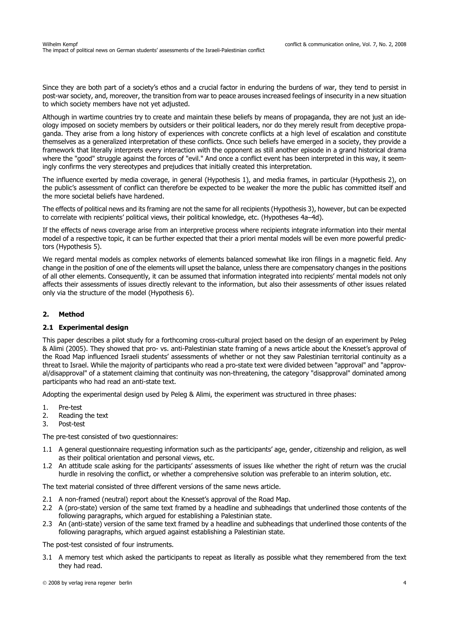Since they are both part of a society's ethos and a crucial factor in enduring the burdens of war, they tend to persist in post-war society, and, moreover, the transition from war to peace arouses increased feelings of insecurity in a new situation to which society members have not yet adjusted.

Although in wartime countries try to create and maintain these beliefs by means of propaganda, they are not just an ideology imposed on society members by outsiders or their political leaders, nor do they merely result from deceptive propaganda. They arise from a long history of experiences with concrete conflicts at a high level of escalation and constitute themselves as a generalized interpretation of these conflicts. Once such beliefs have emerged in a society, they provide a framework that literally interprets every interaction with the opponent as still another episode in a grand historical drama where the "good" struggle against the forces of "evil." And once a conflict event has been interpreted in this way, it seemingly confirms the very stereotypes and prejudices that initially created this interpretation.

The influence exerted by media coverage, in general (Hypothesis 1), and media frames, in particular (Hypothesis 2), on the public's assessment of conflict can therefore be expected to be weaker the more the public has committed itself and the more societal beliefs have hardened.

The effects of political news and its framing are not the same for all recipients (Hypothesis 3), however, but can be expected to correlate with recipients' political views, their political knowledge, etc. (Hypotheses 4a–4d).

If the effects of news coverage arise from an interpretive process where recipients integrate information into their mental model of a respective topic, it can be further expected that their a priori mental models will be even more powerful predictors (Hypothesis 5).

We regard mental models as complex networks of elements balanced somewhat like iron filings in a magnetic field. Any change in the position of one of the elements will upset the balance, unless there are compensatory changes in the positions of all other elements. Consequently, it can be assumed that information integrated into recipients' mental models not only affects their assessments of issues directly relevant to the information, but also their assessments of other issues related only via the structure of the model (Hypothesis 6).

# **2. Method**

## **2.1 Experimental design**

This paper describes a pilot study for a forthcoming cross-cultural project based on the design of an experiment by Peleg & Alimi (2005). They showed that pro- vs. anti-Palestinian state framing of a news article about the Knesset's approval of the Road Map influenced Israeli students' assessments of whether or not they saw Palestinian territorial continuity as a threat to Israel. While the majority of participants who read a pro-state text were divided between "approval" and "approval/disapproval" of a statement claiming that continuity was non-threatening, the category "disapproval" dominated among participants who had read an anti-state text.

Adopting the experimental design used by Peleg & Alimi, the experiment was structured in three phases:

- 1. Pre-test
- 2. Reading the text
- 3. Post-test

The pre-test consisted of two questionnaires:

- 1.1 A general questionnaire requesting information such as the participants' age, gender, citizenship and religion, as well as their political orientation and personal views, etc.
- 1.2 An attitude scale asking for the participants' assessments of issues like whether the right of return was the crucial hurdle in resolving the conflict, or whether a comprehensive solution was preferable to an interim solution, etc.

The text material consisted of three different versions of the same news article.

- 2.1 A non-framed (neutral) report about the Knesset's approval of the Road Map.
- 2.2 A (pro-state) version of the same text framed by a headline and subheadings that underlined those contents of the following paragraphs, which argued for establishing a Palestinian state.
- 2.3 An (anti-state) version of the same text framed by a headline and subheadings that underlined those contents of the following paragraphs, which argued against establishing a Palestinian state.

The post-test consisted of four instruments.

3.1 A memory test which asked the participants to repeat as literally as possible what they remembered from the text they had read.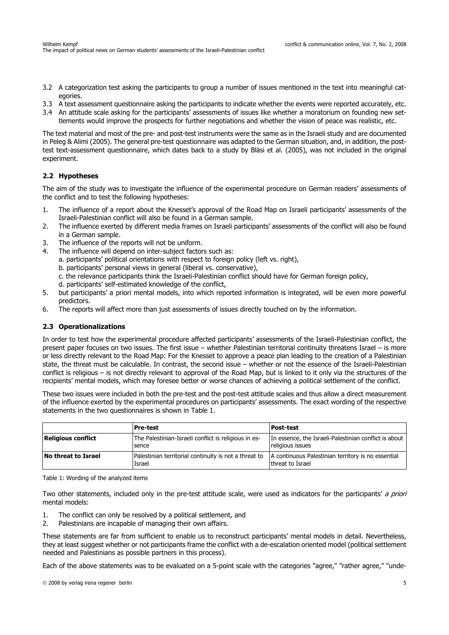- 3.2 A categorization test asking the participants to group a number of issues mentioned in the text into meaningful categories.
- 3.3 A text assessment questionnaire asking the participants to indicate whether the events were reported accurately, etc.
- 3.4 An attitude scale asking for the participants' assessments of issues like whether a moratorium on founding new set-
- tlements would improve the prospects for further negotiations and whether the vision of peace was realistic, etc.

The text material and most of the pre- and post-test instruments were the same as in the Israeli study and are documented in Peleg & Alimi (2005). The general pre-test questionnaire was adapted to the German situation, and, in addition, the posttest text-assessment questionnaire, which dates back to a study by Bläsi et al. (2005), was not included in the original experiment.

# **2.2 Hypotheses**

The aim of the study was to investigate the influence of the experimental procedure on German readers' assessments of the conflict and to test the following hypotheses:

- 1. The influence of a report about the Knesset's approval of the Road Map on Israeli participants' assessments of the Israeli-Palestinian conflict will also be found in a German sample.
- 2. The influence exerted by different media frames on Israeli participants' assessments of the conflict will also be found in a German sample.
- 3. The influence of the reports will not be uniform.
- 4. The influence will depend on inter-subject factors such as:
	- a. participants' political orientations with respect to foreign policy (left vs. right),
	- b. participants' personal views in general (liberal vs. conservative),
	- c. the relevance participants think the Israeli-Palestinian conflict should have for German foreign policy,
	- d. participants' self-estimated knowledge of the conflict,
- 5. but participants' a priori mental models, into which reported information is integrated, will be even more powerful predictors.
- 6. The reports will affect more than just assessments of issues directly touched on by the information.

## **2.3 Operationalizations**

In order to test how the experimental procedure affected participants' assessments of the Israeli-Palestinian conflict, the present paper focuses on two issues. The first issue – whether Palestinian territorial continuity threatens Israel – is more or less directly relevant to the Road Map: For the Knesset to approve a peace plan leading to the creation of a Palestinian state, the threat must be calculable. In contrast, the second issue – whether or not the essence of the Israeli-Palestinian conflict is religious – is not directly relevant to approval of the Road Map, but is linked to it only via the structures of the recipients' mental models, which may foresee better or worse chances of achieving a political settlement of the conflict.

These two issues were included in both the pre-test and the post-test attitude scales and thus allow a direct measurement of the influence exerted by the experimental procedures on participants' assessments. The exact wording of the respective statements in the two questionnaires is shown in Table 1.

|                                                                                            | Pre-test                                                        | <b>Post-test</b>                                                          |  |
|--------------------------------------------------------------------------------------------|-----------------------------------------------------------------|---------------------------------------------------------------------------|--|
| <b>Religious conflict</b><br>The Palestinian-Israeli conflict is religious in es-<br>sence |                                                                 | In essence, the Israeli-Palestinian conflict is about<br>religious issues |  |
| No threat to Israel                                                                        | Palestinian territorial continuity is not a threat to<br>Israel | A continuous Palestinian territory is no essential<br>threat to Israel    |  |

Table 1: Wording of the analyzed items

Two other statements, included only in the pre-test attitude scale, were used as indicators for the participants' a priori mental models:

- 1. The conflict can only be resolved by a political settlement, and
- 2. Palestinians are incapable of managing their own affairs.

These statements are far from sufficient to enable us to reconstruct participants' mental models in detail. Nevertheless, they at least suggest whether or not participants frame the conflict with a de-escalation oriented model (political settlement needed and Palestinians as possible partners in this process).

Each of the above statements was to be evaluated on a 5-point scale with the categories "agree," "rather agree," "unde-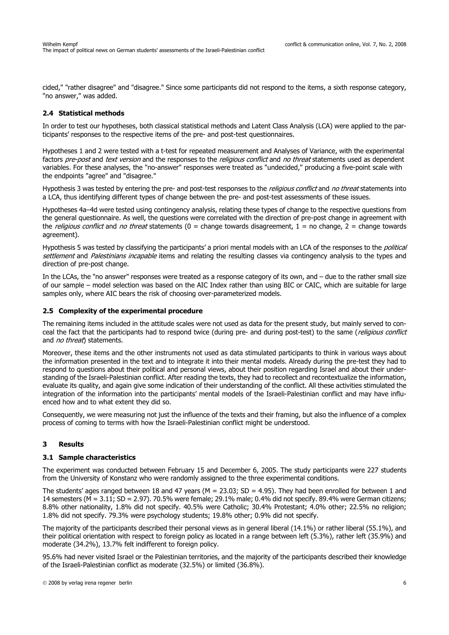cided," "rather disagree" and "disagree." Since some participants did not respond to the items, a sixth response category, "no answer," was added.

## **2.4 Statistical methods**

In order to test our hypotheses, both classical statistical methods and Latent Class Analysis (LCA) were applied to the participants' responses to the respective items of the pre- and post-test questionnaires.

Hypotheses 1 and 2 were tested with a t-test for repeated measurement and Analyses of Variance, with the experimental factors pre-post and text version and the responses to the religious conflict and no threat statements used as dependent variables. For these analyses, the "no-answer" responses were treated as "undecided," producing a five-point scale with the endpoints "agree" and "disagree."

Hypothesis 3 was tested by entering the pre- and post-test responses to the *religious conflict* and no threat statements into a LCA, thus identifying different types of change between the pre- and post-test assessments of these issues.

Hypotheses 4a–4d were tested using contingency analysis, relating these types of change to the respective questions from the general questionnaire. As well, the questions were correlated with the direction of pre-post change in agreement with the *religious conflict* and *no threat* statements ( $0 =$  change towards disagreement,  $1 =$  no change,  $2 =$  change towards agreement).

Hypothesis 5 was tested by classifying the participants' a priori mental models with an LCA of the responses to the *political* settlement and Palestinians incapable items and relating the resulting classes via contingency analysis to the types and direction of pre-post change.

In the LCAs, the "no answer" responses were treated as a response category of its own, and – due to the rather small size of our sample – model selection was based on the AIC Index rather than using BIC or CAIC, which are suitable for large samples only, where AIC bears the risk of choosing over-parameterized models.

## **2.5 Complexity of the experimental procedure**

The remaining items included in the attitude scales were not used as data for the present study, but mainly served to conceal the fact that the participants had to respond twice (during pre- and during post-test) to the same (religious conflict and *no threat*) statements.

Moreover, these items and the other instruments not used as data stimulated participants to think in various ways about the information presented in the text and to integrate it into their mental models. Already during the pre-test they had to respond to questions about their political and personal views, about their position regarding Israel and about their understanding of the Israeli-Palestinian conflict. After reading the texts, they had to recollect and recontextualize the information, evaluate its quality, and again give some indication of their understanding of the conflict. All these activities stimulated the integration of the information into the participants' mental models of the Israeli-Palestinian conflict and may have influenced how and to what extent they did so.

Consequently, we were measuring not just the influence of the texts and their framing, but also the influence of a complex process of coming to terms with how the Israeli-Palestinian conflict might be understood.

## **3 Results**

## **3.1 Sample characteristics**

The experiment was conducted between February 15 and December 6, 2005. The study participants were 227 students from the University of Konstanz who were randomly assigned to the three experimental conditions.

The students' ages ranged between 18 and 47 years ( $M = 23.03$ ; SD = 4.95). They had been enrolled for between 1 and 14 semesters (M = 3.11; SD = 2.97). 70.5% were female; 29.1% male; 0.4% did not specify. 89.4% were German citizens; 8.8% other nationality, 1.8% did not specify. 40.5% were Catholic; 30.4% Protestant; 4.0% other; 22.5% no religion; 1.8% did not specify. 79.3% were psychology students; 19.8% other; 0.9% did not specify.

The majority of the participants described their personal views as in general liberal (14.1%) or rather liberal (55.1%), and their political orientation with respect to foreign policy as located in a range between left (5.3%), rather left (35.9%) and moderate (34.2%), 13.7% felt indifferent to foreign policy.

95.6% had never visited Israel or the Palestinian territories, and the majority of the participants described their knowledge of the Israeli-Palestinian conflict as moderate (32.5%) or limited (36.8%).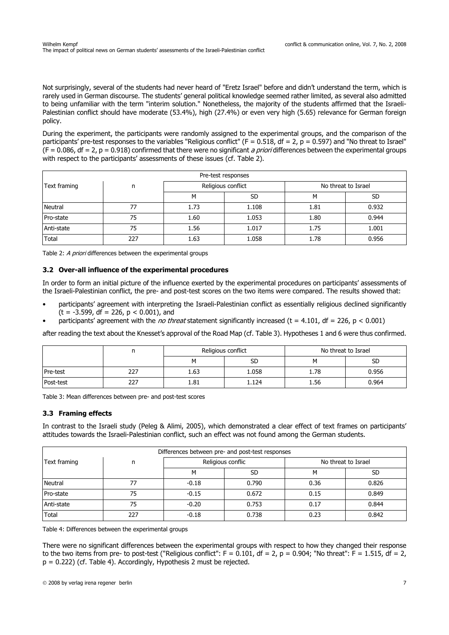Not surprisingly, several of the students had never heard of "Eretz Israel" before and didn't understand the term, which is rarely used in German discourse. The students' general political knowledge seemed rather limited, as several also admitted to being unfamiliar with the term "interim solution." Nonetheless, the majority of the students affirmed that the Israeli-Palestinian conflict should have moderate (53.4%), high (27.4%) or even very high (5.65) relevance for German foreign policy.

During the experiment, the participants were randomly assigned to the experimental groups, and the comparison of the participants' pre-test responses to the variables "Religious conflict" ( $F = 0.518$ ,  $df = 2$ ,  $p = 0.597$ ) and "No threat to Israel"  $(F = 0.086, df = 2, p = 0.918)$  confirmed that there were no significant *a priori* differences between the experimental groups with respect to the participants' assessments of these issues (cf. Table 2).

| Pre-test responses |     |                    |           |                     |           |  |  |
|--------------------|-----|--------------------|-----------|---------------------|-----------|--|--|
| Text framing       | n   | Religious conflict |           | No threat to Israel |           |  |  |
|                    |     | м                  | <b>SD</b> | м                   | <b>SD</b> |  |  |
| <b>Neutral</b>     | 77  | 1.73               | 1.108     | 1.81                | 0.932     |  |  |
| Pro-state          | 75  | 1.60               | 1.053     | 1.80                | 0.944     |  |  |
| Anti-state         | 75  | 1.56               | 1.017     | 1.75                | 1.001     |  |  |
| Total              | 227 | 1.63               | 1.058     | 1.78                | 0.956     |  |  |

Table 2: A priori differences between the experimental groups

## **3.2 Over-all influence of the experimental procedures**

In order to form an initial picture of the influence exerted by the experimental procedures on participants' assessments of the Israeli-Palestinian conflict, the pre- and post-test scores on the two items were compared. The results showed that:

- participants' agreement with interpreting the Israeli-Palestinian conflict as essentially religious declined significantly  $(t = -3.599, df = 226, p < 0.001)$ , and
- participants' agreement with the *no threat* statement significantly increased (t = 4.101, df = 226, p < 0.001)

after reading the text about the Knesset's approval of the Road Map (cf. Table 3). Hypotheses 1 and 6 were thus confirmed.

|           |     | Religious conflict |       | No threat to Israel |           |
|-----------|-----|--------------------|-------|---------------------|-----------|
|           |     | SD                 |       | м                   | <b>SD</b> |
| Pre-test  | 227 | 1.63               | 1.058 | 1.78                | 0.956     |
| Post-test | 227 | 1.81               | 1.124 | 1.56                | 0.964     |

Table 3: Mean differences between pre- and post-test scores

#### **3.3 Framing effects**

In contrast to the Israeli study (Peleg & Alimi, 2005), which demonstrated a clear effect of text frames on participants' attitudes towards the Israeli-Palestinian conflict, such an effect was not found among the German students.

| Differences between pre- and post-test responses |     |                   |       |                     |           |  |  |
|--------------------------------------------------|-----|-------------------|-------|---------------------|-----------|--|--|
| Text framing                                     | n   | Religious conflic |       | No threat to Israel |           |  |  |
|                                                  |     | м                 | SD    | м                   | <b>SD</b> |  |  |
| <b>Neutral</b>                                   | 77  | $-0.18$           | 0.790 | 0.36                | 0.826     |  |  |
| Pro-state                                        | 75  | $-0.15$           | 0.672 | 0.15                | 0.849     |  |  |
| Anti-state                                       | 75  | $-0.20$           | 0.753 | 0.17                | 0.844     |  |  |
| Total                                            | 227 | $-0.18$           | 0.738 | 0.23                | 0.842     |  |  |

Table 4: Differences between the experimental groups

There were no significant differences between the experimental groups with respect to how they changed their response to the two items from pre- to post-test ("Religious conflict":  $F = 0.101$ ,  $df = 2$ ,  $p = 0.904$ ; "No threat":  $F = 1.515$ ,  $df = 2$ , p = 0.222) (cf. Table 4). Accordingly, Hypothesis 2 must be rejected.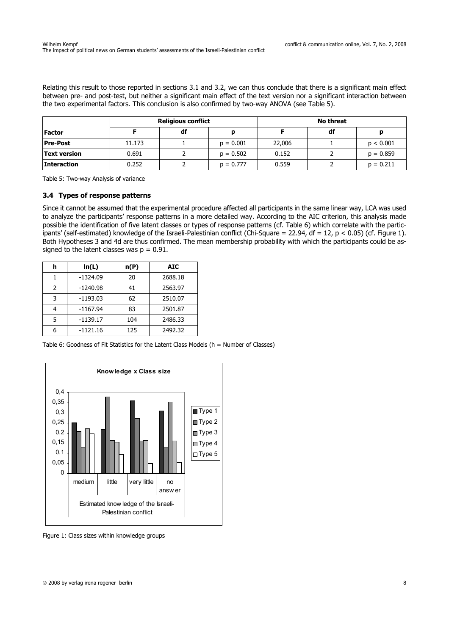Relating this result to those reported in sections 3.1 and 3.2, we can thus conclude that there is a significant main effect between pre- and post-test, but neither a significant main effect of the text version nor a significant interaction between the two experimental factors. This conclusion is also confirmed by two-way ANOVA (see Table 5).

|                    | <b>Religious conflict</b> |    |             | <b>No threat</b> |    |             |
|--------------------|---------------------------|----|-------------|------------------|----|-------------|
| <b>Factor</b>      |                           | df |             |                  | df |             |
| <b>Pre-Post</b>    | 11.173                    |    | $p = 0.001$ | 22,006           |    | p < 0.001   |
| Text version       | 0.691                     |    | $p = 0.502$ | 0.152            |    | $p = 0.859$ |
| <b>Interaction</b> | 0.252                     |    | $p = 0.777$ | 0.559            |    | $p = 0.211$ |

Table 5: Two-way Analysis of variance

#### **3.4 Types of response patterns**

Since it cannot be assumed that the experimental procedure affected all participants in the same linear way, LCA was used to analyze the participants' response patterns in a more detailed way. According to the AIC criterion, this analysis made possible the identification of five latent classes or types of response patterns (cf. Table 6) which correlate with the participants' (self-estimated) knowledge of the Israeli-Palestinian conflict (Chi-Square = 22.94, df = 12, p < 0.05) (cf. Figure 1). Both Hypotheses 3 and 4d are thus confirmed. The mean membership probability with which the participants could be assigned to the latent classes was  $p = 0.91$ .

| h             | ln(L)      | n(P) | <b>AIC</b> |
|---------------|------------|------|------------|
|               | $-1324.09$ | 20   | 2688.18    |
| $\mathcal{P}$ | $-1240.98$ | 41   | 2563.97    |
| 3             | $-1193.03$ | 62   | 2510.07    |
| 4             | $-1167.94$ | 83   | 2501.87    |
| 5             | $-1139.17$ | 104  | 2486.33    |
| 6             | $-1121.16$ | 125  | 2492.32    |

Table 6: Goodness of Fit Statistics for the Latent Class Models (h = Number of Classes)



Figure 1: Class sizes within knowledge groups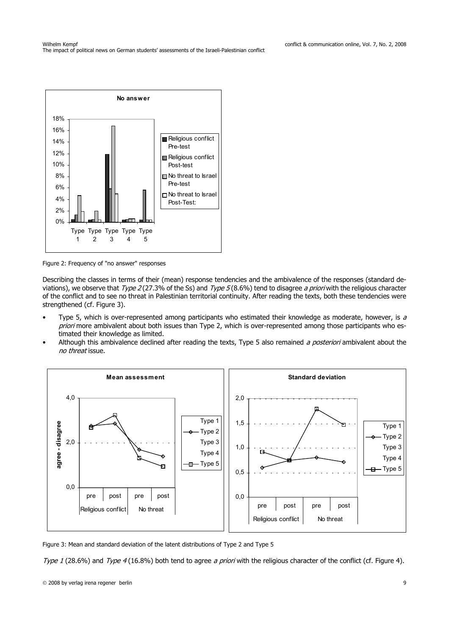

Figure 2: Frequency of "no answer" responses

Describing the classes in terms of their (mean) response tendencies and the ambivalence of the responses (standard deviations), we observe that  $Type 2(27.3%$  of the Ss) and  $Type 5(8.6%)$  tend to disagree a priori with the religious character of the conflict and to see no threat in Palestinian territorial continuity. After reading the texts, both these tendencies were strengthened (cf. Figure 3).

- Type 5, which is over-represented among participants who estimated their knowledge as moderate, however, is a priori more ambivalent about both issues than Type 2, which is over-represented among those participants who estimated their knowledge as limited.
- Although this ambivalence declined after reading the texts, Type 5 also remained a posteriori ambivalent about the no threat issue.



Figure 3: Mean and standard deviation of the latent distributions of Type 2 and Type 5

Type 1 (28.6%) and Type 4 (16.8%) both tend to agree a priori with the religious character of the conflict (cf. Figure 4).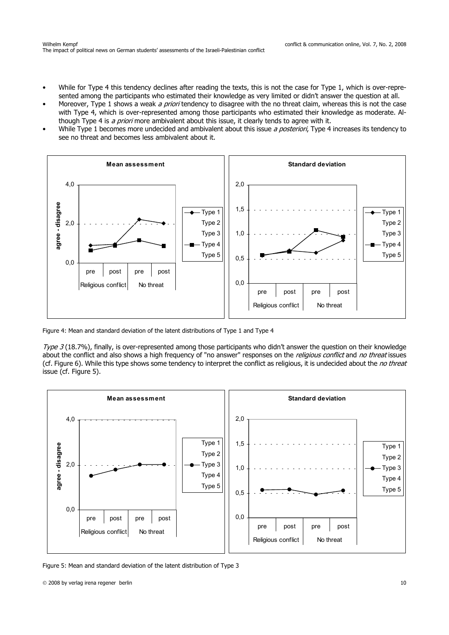- While for Type 4 this tendency declines after reading the texts, this is not the case for Type 1, which is over-represented among the participants who estimated their knowledge as very limited or didn't answer the question at all.
- Moreover, Type 1 shows a weak a priori tendency to disagree with the no threat claim, whereas this is not the case with Type 4, which is over-represented among those participants who estimated their knowledge as moderate. Although Type 4 is a priori more ambivalent about this issue, it clearly tends to agree with it.
- While Type 1 becomes more undecided and ambivalent about this issue a posteriori, Type 4 increases its tendency to see no threat and becomes less ambivalent about it.



Figure 4: Mean and standard deviation of the latent distributions of Type 1 and Type 4

Type 3 (18.7%), finally, is over-represented among those participants who didn't answer the question on their knowledge about the conflict and also shows a high frequency of "no answer" responses on the *religious conflict* and *no threat* issues (cf. Figure 6). While this type shows some tendency to interpret the conflict as religious, it is undecided about the no threat issue (cf. Figure 5).



Figure 5: Mean and standard deviation of the latent distribution of Type 3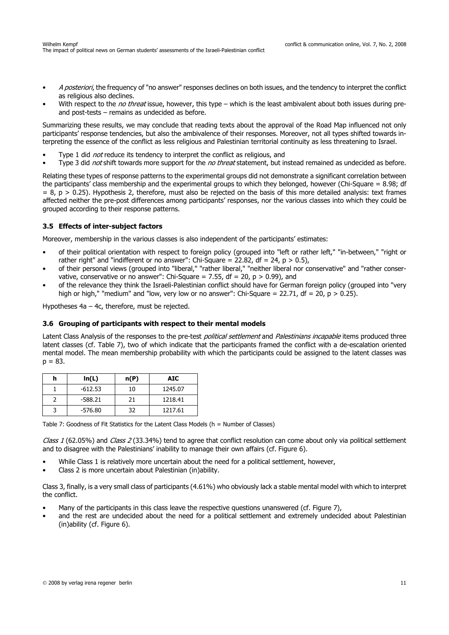- A posteriori, the frequency of "no answer" responses declines on both issues, and the tendency to interpret the conflict as religious also declines.
- With respect to the *no threat* issue, however, this type which is the least ambivalent about both issues during preand post-tests – remains as undecided as before.

Summarizing these results, we may conclude that reading texts about the approval of the Road Map influenced not only participants' response tendencies, but also the ambivalence of their responses. Moreover, not all types shifted towards interpreting the essence of the conflict as less religious and Palestinian territorial continuity as less threatening to Israel.

- Type 1 did *not* reduce its tendency to interpret the conflict as religious, and
- Type 3 did *not* shift towards more support for the *no threat* statement, but instead remained as undecided as before.

Relating these types of response patterns to the experimental groups did not demonstrate a significant correlation between the participants' class membership and the experimental groups to which they belonged, however (Chi-Square = 8.98; df  $= 8$ ,  $p > 0.25$ ). Hypothesis 2, therefore, must also be rejected on the basis of this more detailed analysis: text frames affected neither the pre-post differences among participants' responses, nor the various classes into which they could be grouped according to their response patterns.

## **3.5 Effects of inter-subject factors**

Moreover, membership in the various classes is also independent of the participants' estimates:

- of their political orientation with respect to foreign policy (grouped into "left or rather left," "in-between," "right or rather right" and "indifferent or no answer": Chi-Square = 22.82, df = 24,  $p > 0.5$ ),
- of their personal views (grouped into "liberal," "rather liberal," "neither liberal nor conservative" and "rather conservative, conservative or no answer": Chi-Square = 7.55, df = 20,  $p > 0.99$ ), and
- of the relevance they think the Israeli-Palestinian conflict should have for German foreign policy (grouped into "very high or high," "medium" and "low, very low or no answer": Chi-Square = 22.71, df = 20,  $p > 0.25$ ).

Hypotheses 4a – 4c, therefore, must be rejected.

## **3.6 Grouping of participants with respect to their mental models**

Latent Class Analysis of the responses to the pre-test *political settlement* and *Palestinians incapable* items produced three latent classes (cf. Table 7), two of which indicate that the participants framed the conflict with a de-escalation oriented mental model. The mean membership probability with which the participants could be assigned to the latent classes was  $p = 83.$ 

| h | ln(L)     | n(P) | <b>AIC</b> |
|---|-----------|------|------------|
|   | $-612.53$ | 10   | 1245.07    |
|   | $-588.21$ | 21   | 1218.41    |
|   | $-576.80$ | 32   | 1217.61    |

Table 7: Goodness of Fit Statistics for the Latent Class Models (h = Number of Classes)

Class 1 (62.05%) and Class 2 (33.34%) tend to agree that conflict resolution can come about only via political settlement and to disagree with the Palestinians' inability to manage their own affairs (cf. Figure 6).

- While Class 1 is relatively more uncertain about the need for a political settlement, however,
- Class 2 is more uncertain about Palestinian (in)ability.

Class 3, finally, is a very small class of participants (4.61%) who obviously lack a stable mental model with which to interpret the conflict.

- Many of the participants in this class leave the respective questions unanswered (cf. Figure 7),
- and the rest are undecided about the need for a political settlement and extremely undecided about Palestinian (in)ability (cf. Figure 6).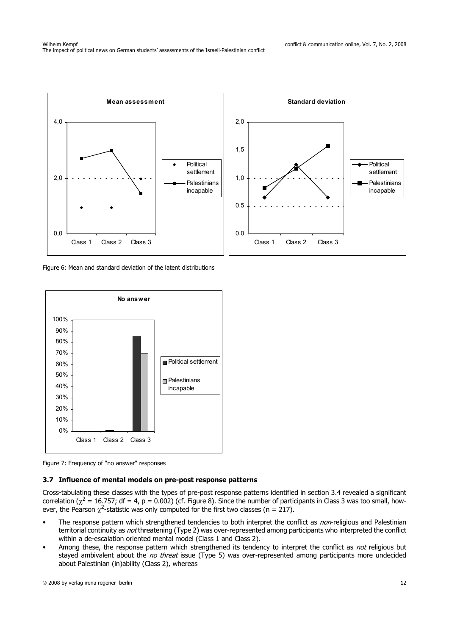

Figure 6: Mean and standard deviation of the latent distributions



Figure 7: Frequency of "no answer" responses

## **3.7 Influence of mental models on pre-post response patterns**

Cross-tabulating these classes with the types of pre-post response patterns identified in section 3.4 revealed a significant correlation ( $\chi^2 = 16.757$ ; df = 4, p = 0.002) (cf. Figure 8). Since the number of participants in Class 3 was too small, however, the Pearson  $\chi^2$ -statistic was only computed for the first two classes (n = 217).

- The response pattern which strengthened tendencies to both interpret the conflict as non-religious and Palestinian territorial continuity as not threatening (Type 2) was over-represented among participants who interpreted the conflict within a de-escalation oriented mental model (Class 1 and Class 2).
- Among these, the response pattern which strengthened its tendency to interpret the conflict as not religious but stayed ambivalent about the *no threat* issue (Type 5) was over-represented among participants more undecided about Palestinian (in)ability (Class 2), whereas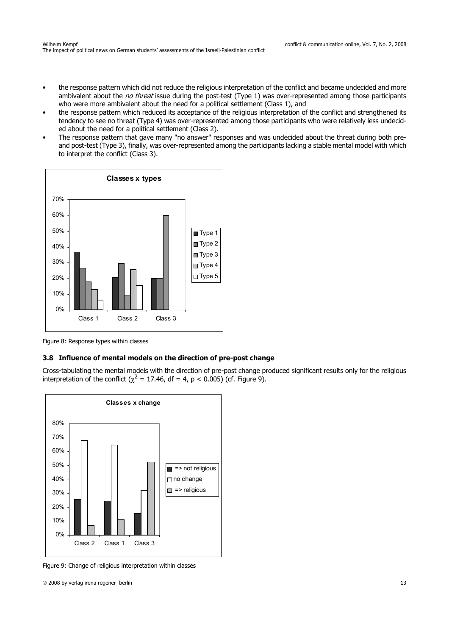- the response pattern which did not reduce the religious interpretation of the conflict and became undecided and more ambivalent about the *no threat* issue during the post-test (Type 1) was over-represented among those participants who were more ambivalent about the need for a political settlement (Class 1), and
- the response pattern which reduced its acceptance of the religious interpretation of the conflict and strengthened its tendency to see no threat (Type 4) was over-represented among those participants who were relatively less undecided about the need for a political settlement (Class 2).
- The response pattern that gave many "no answer" responses and was undecided about the threat during both preand post-test (Type 3), finally, was over-represented among the participants lacking a stable mental model with which to interpret the conflict (Class 3).



Figure 8: Response types within classes

## **3.8 Influence of mental models on the direction of pre-post change**

Cross-tabulating the mental models with the direction of pre-post change produced significant results only for the religious interpretation of the conflict ( $\chi^2$  = 17.46, df = 4, p < 0.005) (cf. Figure 9).



Figure 9: Change of religious interpretation within classes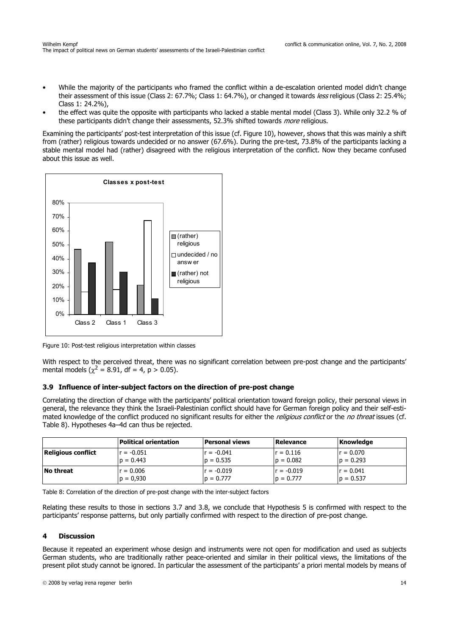- While the majority of the participants who framed the conflict within a de-escalation oriented model didn't change their assessment of this issue (Class 2: 67.7%; Class 1: 64.7%), or changed it towards less religious (Class 2: 25.4%; Class 1: 24.2%),
- the effect was quite the opposite with participants who lacked a stable mental model (Class 3). While only 32.2 % of these participants didn't change their assessments, 52.3% shifted towards *more* religious.

Examining the participants' post-test interpretation of this issue (cf. Figure 10), however, shows that this was mainly a shift from (rather) religious towards undecided or no answer (67.6%). During the pre-test, 73.8% of the participants lacking a stable mental model had (rather) disagreed with the religious interpretation of the conflict. Now they became confused about this issue as well.



Figure 10: Post-test religious interpretation within classes

With respect to the perceived threat, there was no significant correlation between pre-post change and the participants' mental models ( $\chi^2$  = 8.91, df = 4, p > 0.05).

#### **3.9 Influence of inter-subject factors on the direction of pre-post change**

Correlating the direction of change with the participants' political orientation toward foreign policy, their personal views in general, the relevance they think the Israeli-Palestinian conflict should have for German foreign policy and their self-estimated knowledge of the conflict produced no significant results for either the religious conflict or the no threat issues (cf. Table 8). Hypotheses 4a–4d can thus be rejected.

|                           | Political orientation | <b>Personal views</b> | Relevance    | Knowledge   |
|---------------------------|-----------------------|-----------------------|--------------|-------------|
| <b>Religious conflict</b> | lr = -0.051           | lr = -0.041           | $r = 0.116$  | lr = 0.070  |
|                           | $p = 0.443$           | $p = 0.535$           | $p = 0.082$  | $p = 0.293$ |
| <b>No threat</b>          | $r = 0.006$           | $r = -0.019$          | $r = -0.019$ | $r = 0.041$ |
|                           | $p = 0.930$           | $p = 0.777$           | $p = 0.777$  | $p = 0.537$ |

Table 8: Correlation of the direction of pre-post change with the inter-subject factors

Relating these results to those in sections 3.7 and 3.8, we conclude that Hypothesis 5 is confirmed with respect to the participants' response patterns, but only partially confirmed with respect to the direction of pre-post change.

#### **4 Discussion**

Because it repeated an experiment whose design and instruments were not open for modification and used as subjects German students, who are traditionally rather peace-oriented and similar in their political views, the limitations of the present pilot study cannot be ignored. In particular the assessment of the participants' a priori mental models by means of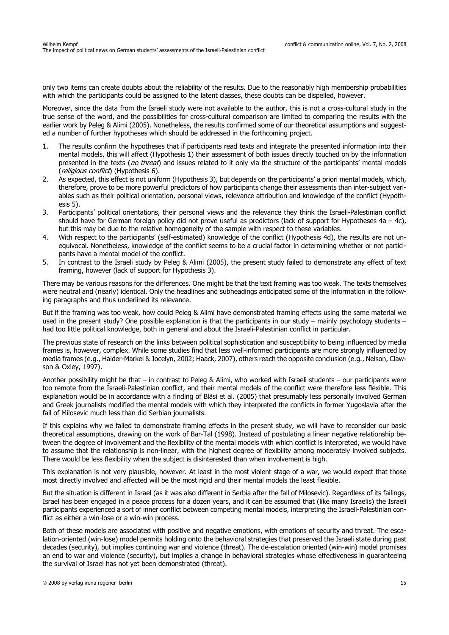only two items can create doubts about the reliability of the results. Due to the reasonably high membership probabilities with which the participants could be assigned to the latent classes, these doubts can be dispelled, however.

Moreover, since the data from the Israeli study were not available to the author, this is not a cross-cultural study in the true sense of the word, and the possibilities for cross-cultural comparison are limited to comparing the results with the earlier work by Peleg & Alimi (2005). Nonetheless, the results confirmed some of our theoretical assumptions and suggested a number of further hypotheses which should be addressed in the forthcoming project.

- 1. The results confirm the hypotheses that if participants read texts and integrate the presented information into their mental models, this will affect (Hypothesis 1) their assessment of both issues directly touched on by the information presented in the texts (no threat) and issues related to it only via the structure of the participants' mental models (*religious conflict*) (Hypothesis 6).
- 2. As expected, this effect is not uniform (Hypothesis 3), but depends on the participants' a priori mental models, which, therefore, prove to be more powerful predictors of how participants change their assessments than inter-subject variables such as their political orientation, personal views, relevance attribution and knowledge of the conflict (Hypothesis 5).
- 3. Participants' political orientations, their personal views and the relevance they think the Israeli-Palestinian conflict should have for German foreign policy did not prove useful as predictors (lack of support for Hypotheses  $4a - 4c$ ), but this may be due to the relative homogeneity of the sample with respect to these variables.
- 4. With respect to the participants' (self-estimated) knowledge of the conflict (Hypothesis 4d), the results are not unequivocal. Nonetheless, knowledge of the conflict seems to be a crucial factor in determining whether or not participants have a mental model of the conflict.
- 5. In contrast to the Israeli study by Peleg & Alimi (2005), the present study failed to demonstrate any effect of text framing, however (lack of support for Hypothesis 3).

There may be various reasons for the differences. One might be that the text framing was too weak. The texts themselves were neutral and (nearly) identical. Only the headlines and subheadings anticipated some of the information in the following paragraphs and thus underlined its relevance.

But if the framing was too weak, how could Peleg & Alimi have demonstrated framing effects using the same material we used in the present study? One possible explanation is that the participants in our study – mainly psychology students – had too little political knowledge, both in general and about the Israeli-Palestinian conflict in particular.

The previous state of research on the links between political sophistication and susceptibility to being influenced by media frames is, however, complex. While some studies find that less well-informed participants are more strongly influenced by media frames (e.g., Haider-Markel & Jocelyn, 2002; Haack, 2007), others reach the opposite conclusion (e.g., Nelson, Clawson & Oxley, 1997).

Another possibility might be that – in contrast to Peleg & Alimi, who worked with Israeli students – our participants were too remote from the Israeli-Palestinian conflict, and their mental models of the conflict were therefore less flexible. This explanation would be in accordance with a finding of Bläsi et al. (2005) that presumably less personally involved German and Greek journalists modified the mental models with which they interpreted the conflicts in former Yugoslavia after the fall of Milosevic much less than did Serbian journalists.

If this explains why we failed to demonstrate framing effects in the present study, we will have to reconsider our basic theoretical assumptions, drawing on the work of Bar-Tal (1998). Instead of postulating a linear negative relationship between the degree of involvement and the flexibility of the mental models with which conflict is interpreted, we would have to assume that the relationship is non-linear, with the highest degree of flexibility among moderately involved subjects. There would be less flexibility when the subject is disinterested than when involvement is high.

This explanation is not very plausible, however. At least in the most violent stage of a war, we would expect that those most directly involved and affected will be the most rigid and their mental models the least flexible.

But the situation is different in Israel (as it was also different in Serbia after the fall of Milosevic). Regardless of its failings, Israel has been engaged in a peace process for a dozen years, and it can be assumed that (like many Israelis) the Israeli participants experienced a sort of inner conflict between competing mental models, interpreting the Israeli-Palestinian conflict as either a win-lose or a win-win process.

Both of these models are associated with positive and negative emotions, with emotions of security and threat. The escalation-oriented (win-lose) model permits holding onto the behavioral strategies that preserved the Israeli state during past decades (security), but implies continuing war and violence (threat). The de-escalation oriented (win-win) model promises an end to war and violence (security), but implies a change in behavioral strategies whose effectiveness in guaranteeing the survival of Israel has not yet been demonstrated (threat).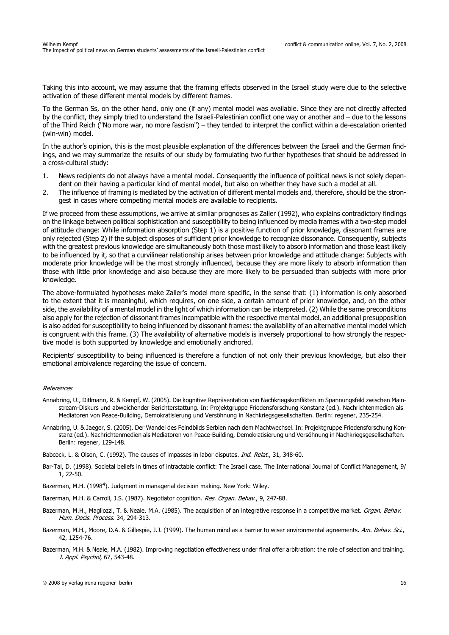Taking this into account, we may assume that the framing effects observed in the Israeli study were due to the selective activation of these different mental models by different frames.

To the German Ss, on the other hand, only one (if any) mental model was available. Since they are not directly affected by the conflict, they simply tried to understand the Israeli-Palestinian conflict one way or another and – due to the lessons of the Third Reich ("No more war, no more fascism") – they tended to interpret the conflict within a de-escalation oriented (win-win) model.

In the author's opinion, this is the most plausible explanation of the differences between the Israeli and the German findings, and we may summarize the results of our study by formulating two further hypotheses that should be addressed in a cross-cultural study:

- 1. News recipients do not always have a mental model. Consequently the influence of political news is not solely dependent on their having a particular kind of mental model, but also on whether they have such a model at all.
- 2. The influence of framing is mediated by the activation of different mental models and, therefore, should be the strongest in cases where competing mental models are available to recipients.

If we proceed from these assumptions, we arrive at similar prognoses as Zaller (1992), who explains contradictory findings on the linkage between political sophistication and susceptibility to being influenced by media frames with a two-step model of attitude change: While information absorption (Step 1) is a positive function of prior knowledge, dissonant frames are only rejected (Step 2) if the subject disposes of sufficient prior knowledge to recognize dissonance. Consequently, subjects with the greatest previous knowledge are simultaneously both those most likely to absorb information and those least likely to be influenced by it, so that a curvilinear relationship arises between prior knowledge and attitude change: Subjects with moderate prior knowledge will be the most strongly influenced, because they are more likely to absorb information than those with little prior knowledge and also because they are more likely to be persuaded than subjects with more prior knowledge.

The above-formulated hypotheses make Zaller's model more specific, in the sense that: (1) information is only absorbed to the extent that it is meaningful, which requires, on one side, a certain amount of prior knowledge, and, on the other side, the availability of a mental model in the light of which information can be interpreted. (2) While the same preconditions also apply for the rejection of dissonant frames incompatible with the respective mental model, an additional presupposition is also added for susceptibility to being influenced by dissonant frames: the availability of an alternative mental model which is congruent with this frame. (3) The availability of alternative models is inversely proportional to how strongly the respective model is both supported by knowledge and emotionally anchored.

Recipients' susceptibility to being influenced is therefore a function of not only their previous knowledge, but also their emotional ambivalence regarding the issue of concern.

#### References

- Annabring, U., Ditlmann, R. & Kempf, W. (2005). Die kognitive Repräsentation von Nachkriegskonflikten im Spannungsfeld zwischen Mainstream-Diskurs und abweichender Berichterstattung. In: Projektgruppe Friedensforschung Konstanz (ed.). Nachrichtenmedien als Mediatoren von Peace-Building, Demokratisierung und Versöhnung in Nachkriegsgesellschaften. Berlin: regener, 235-254.
- Annabring, U. & Jaeger, S. (2005). Der Wandel des Feindbilds Serbien nach dem Machtwechsel. In: Projektgruppe Friedensforschung Konstanz (ed.). Nachrichtenmedien als Mediatoren von Peace-Building, Demokratisierung und Versöhnung in Nachkriegsgesellschaften. Berlin: regener, 129-148.

Babcock, L. & Olson, C. (1992). The causes of impasses in labor disputes. Ind. Relat., 31, 348-60.

- Bar-Tal, D. (1998). Societal beliefs in times of intractable conflict: The Israeli case. The International Journal of Conflict Management, 9/ 1, 22-50.
- Bazerman, M.H. (1998<sup>4</sup>). Judgment in managerial decision making. New York: Wiley.
- Bazerman, M.H. & Carroll, J.S. (1987). Negotiator cognition. Res. Organ. Behav., 9, 247-88.
- Bazerman, M.H., Magliozzi, T. & Neale, M.A. (1985). The acquisition of an integrative response in a competitive market. Organ. Behav. Hum. Decis. Process. 34, 294-313.
- Bazerman, M.H., Moore, D.A. & Gillespie, J.J. (1999). The human mind as a barrier to wiser environmental agreements. Am. Behav. Sci., 42, 1254-76.
- Bazerman, M.H. & Neale, M.A. (1982). Improving negotiation effectiveness under final offer arbitration: the role of selection and training. J. Appl. Psychol, 67, 543-48.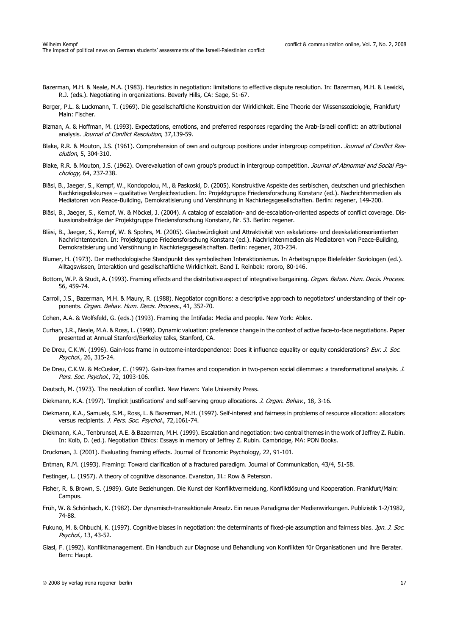- Bazerman, M.H. & Neale, M.A. (1983). Heuristics in negotiation: limitations to effective dispute resolution. In: Bazerman, M.H. & Lewicki, R.J. (eds.). Negotiating in organizations. Beverly Hills, CA: Sage, 51-67.
- Berger, P.L. & Luckmann, T. (1969). Die gesellschaftliche Konstruktion der Wirklichkeit. Eine Theorie der Wissenssoziologie, Frankfurt/ Main: Fischer.
- Bizman, A. & Hoffman, M. (1993). Expectations, emotions, and preferred responses regarding the Arab-Israeli conflict: an attributional analysis. Journal of Conflict Resolution, 37,139-59.
- Blake, R.R. & Mouton, J.S. (1961). Comprehension of own and outgroup positions under intergroup competition. Journal of Conflict Resolution, 5, 304-310.
- Blake, R.R. & Mouton, J.S. (1962). Overevaluation of own group's product in intergroup competition. Journal of Abnormal and Social Psychology, 64, 237-238.
- Bläsi, B., Jaeger, S., Kempf, W., Kondopolou, M., & Paskoski, D. (2005). Konstruktive Aspekte des serbischen, deutschen und griechischen Nachkriegsdiskurses – qualitative Vergleichsstudien. In: Projektgruppe Friedensforschung Konstanz (ed.). Nachrichtenmedien als Mediatoren von Peace-Building, Demokratisierung und Versöhnung in Nachkriegsgesellschaften. Berlin: regener, 149-200.
- Bläsi, B., Jaeger, S., Kempf, W. & Möckel, J. (2004). A catalog of escalation- and de-escalation-oriented aspects of conflict coverage. Diskussionsbeiträge der Projektgruppe Friedensforschung Konstanz, Nr. 53. Berlin: regener.
- Bläsi, B., Jaeger, S., Kempf, W. & Spohrs, M. (2005). Glaubwürdigkeit und Attraktivität von eskalations- und deeskalationsorientierten Nachrichtentexten. In: Projektgruppe Friedensforschung Konstanz (ed.). Nachrichtenmedien als Mediatoren von Peace-Building, Demokratisierung und Versöhnung in Nachkriegsgesellschaften. Berlin: regener, 203-234.
- Blumer, H. (1973). Der methodologische Standpunkt des symbolischen Interaktionismus. In Arbeitsgruppe Bielefelder Soziologen (ed.). Alltagswissen, Interaktion und gesellschaftliche Wirklichkeit. Band I. Reinbek: rororo, 80-146.
- Bottom, W.P. & Studt, A. (1993). Framing effects and the distributive aspect of integrative bargaining. Organ. Behav. Hum. Decis. Process. 56, 459-74.
- Carroll, J.S., Bazerman, M.H. & Maury, R. (1988). Negotiator cognitions: a descriptive approach to negotiators' understanding of their opponents. Organ. Behav. Hum. Decis. Process., 41, 352-70.
- Cohen, A.A. & Wolfsfeld, G. (eds.) (1993). Framing the Intifada: Media and people. New York: Ablex.
- Curhan, J.R., Neale, M.A. & Ross, L. (1998). Dynamic valuation: preference change in the context of active face-to-face negotiations. Paper presented at Annual Stanford/Berkeley talks, Stanford, CA.
- De Dreu, C.K.W. (1996). Gain-loss frame in outcome-interdependence: Does it influence equality or equity considerations? Eur. J. Soc. Psychol., 26, 315-24.
- De Dreu, C.K.W. & McCusker, C. (1997). Gain-loss frames and cooperation in two-person social dilemmas: a transformational analysis. J. Pers. Soc. Psychol., 72, 1093-106.
- Deutsch, M. (1973). The resolution of conflict. New Haven: Yale University Press.
- Diekmann, K.A. (1997). 'Implicit justifications' and self-serving group allocations. *J. Organ. Behav.*, 18, 3-16.
- Diekmann, K.A., Samuels, S.M., Ross, L. & Bazerman, M.H. (1997). Self-interest and fairness in problems of resource allocation: allocators versus recipients. J. Pers. Soc. Psychol., 72,1061-74.
- Diekmann, K.A., Tenbrunsel, A.E. & Bazerman, M.H. (1999). Escalation and negotiation: two central themes in the work of Jeffrey Z. Rubin. In: Kolb, D. (ed.). Negotiation Ethics: Essays in memory of Jeffrey Z. Rubin. Cambridge, MA: PON Books.
- Druckman, J. (2001). Evaluating framing effects. Journal of Economic Psychology, 22, 91-101.
- Entman, R.M. (1993). Framing: Toward clarification of a fractured paradigm. Journal of Communication, 43/4, 51-58.
- Festinger, L. (1957). A theory of cognitive dissonance. Evanston, Ill.: Row & Peterson.
- Fisher, R. & Brown, S. (1989). Gute Beziehungen. Die Kunst der Konfliktvermeidung, Konfliktlösung und Kooperation. Frankfurt/Main: Campus.
- Früh, W. & Schönbach, K. (1982). Der dynamisch-transaktionale Ansatz. Ein neues Paradigma der Medienwirkungen. Publizistik 1-2/1982, 74-88.
- Fukuno, M. & Ohbuchi, K. (1997). Cognitive biases in negotiation: the determinants of fixed-pie assumption and fairness bias. Jpn. J. Soc. Psychol., 13, 43-52.
- Glasl, F. (1992). Konfliktmanagement. Ein Handbuch zur Diagnose und Behandlung von Konflikten für Organisationen und ihre Berater. Bern: Haupt.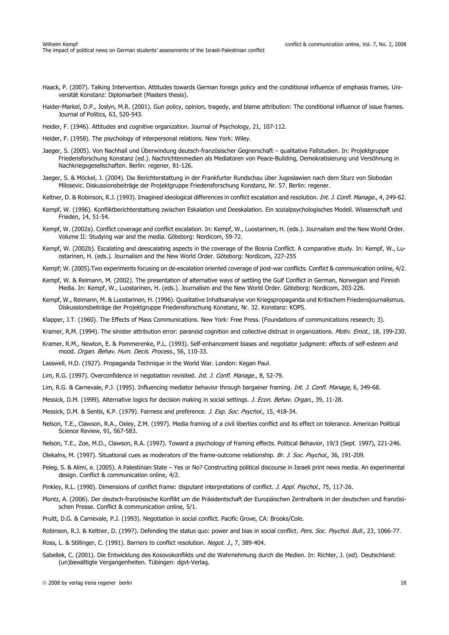- Haack, P. (2007). Talking Intervention. Attitudes towards German foreign policy and the conditional influence of emphasis frames. Universität Konstanz: Diplomarbeit (Masters thesis).
- Haider-Markel, D.P., Joslyn, M.R. (2001). Gun policy, opinion, tragedy, and blame attribution: The conditional influence of issue frames. Journal of Politics, 63, 520-543.
- Heider, F. (1946). Attitudes and cognitive organization. Journal of Psychology, 21, 107-112.
- Heider, F. (1958). The psychology of interpersonal relations. New York: Wiley.
- Jaeger, S. (2005). Von Nachhall und Überwindung deutsch-französischer Gegnerschaft qualitative Fallstudien. In: Projektgruppe Friedensforschung Konstanz (ed.). Nachrichtenmedien als Mediatoren von Peace-Building, Demokratisierung und Versöhnung in Nachkriegsgesellschaften. Berlin: regener, 81-126.
- Jaeger, S. & Möckel, J. (2004). Die Berichterstattung in der Frankfurter Rundschau über Jugoslawien nach dem Sturz von Slobodan Milosevic. Diskussionsbeiträge der Projektgruppe Friedensforschung Konstanz, Nr. 57. Berlin: regener.
- Keltner, D. & Robinson, R.J. (1993). Imagined ideological differences in conflict escalation and resolution. Int. J. Confl. Manage., 4, 249-62.
- Kempf, W. (1996). Konfliktberichterstattung zwischen Eskalation und Deeskalation. Ein sozialpsychologisches Modell. Wissenschaft und Frieden, 14, 51-54.
- Kempf, W. (2002a). Conflict coverage and conflict escalation. In: Kempf, W., Luostarinen, H. (eds.). Journalism and the New World Order. Volume II: Studying war and the media. Göteborg: Nordicom, 59-72.
- Kempf, W. (2002b). Escalating and deescalating aspects in the coverage of the Bosnia Conflict. A comparative study. In: Kempf, W., Luostarinen, H. (eds.). Journalism and the New World Order. Göteborg: Nordicom, 227-255
- Kempf; W. (2005).Two experiments focusing on de-escalation oriented coverage of post-war conflicts. Conflict & communication online, 4/2.
- Kempf, W. & Reimann, M. (2002). The presentation of alternative ways of settling the Gulf Conflict in German, Norwegian and Finnish Media. In: Kempf, W., Luostarinen, H. (eds.). Journalism and the New World Order. Göteborg: Nordicom, 203-226.
- Kempf, W., Reimann, M. & Luostarinen, H. (1996). Qualitative Inhaltsanalyse von Kriegspropaganda und Kritischem Friedensjournalismus. Diskussionsbeiträge der Projektgruppe Friedensforschung Konstanz, Nr. 32. Konstanz: KOPS.
- Klapper, J.T. (1960). The Effects of Mass Communications. New York: Free Press. (Foundations of communications research; 3).
- Kramer, R,M. (1994). The sinister attribution error: paranoid cognition and collective distrust in organizations. Motiv. Emot., 18, 199-230.
- Kramer, R.M., Newton, E. & Pommerenke, P.L. (1993). Self-enhancement biases and negotiator judgment: effects of self-esteem and mood. Organ. Behav. Hum. Decis. Process., 56, 110-33.
- Lasswell, H.D. (1927). Propaganda Technique in the World War. London: Kegan Paul.
- Lim, R.G. (1997). Overconfidence in negotiation revisited. Int. J. Confl. Manage., 8, 52-79.
- Lim, R.G. & Carnevale, P.J. (1995). Influencing mediator behavior through bargainer framing. *Int. J. Confl. Manage*, 6, 349-68.
- Messick, D.M. (1999). Alternative logics for decision making in social settings. J. Econ. Behav. Organ., 39, 11-28.
- Messick, D.M. & Sentis, K.P. (1979). Fairness and preference. J. Exp. Soc. Psychol., 15, 418-34.
- Nelson, T.E., Clawson, R.A., Oxley, Z.M. (1997). Media framing of a civil liberties conflict and its effect on tolerance. American Political Science Review, 91, 567-583.
- Nelson, T.E., Zoe, M.O., Clawson, R.A. (1997). Toward a psychology of framing effects. Political Behavior, 19/3 (Sept. 1997), 221-246.
- Olekalns, M. (1997). Situational cues as moderators of the frame-outcome relationship. Br. J. Soc. Psychol., 36, 191-209.
- Peleg, S. & Alimi, e. (2005). A Palestinian State Yes or No? Constructing political discourse in Israeli print news media. An experimental design. Conflict & communication online, 4/2.
- Pinkley, R.L. (1990). Dimensions of conflict frame: disputant interpretations of conflict. *J. Appl. Psychol.*, 75, 117-26.
- Plontz, A. (2006). Der deutsch-französische Konflikt um die Präsidentschaft der Europäischen Zentralbank in der deutschen und französischen Presse. Conflict & communication online, 5/1.
- Pruitt, D.G. & Carnevale, P.J. (1993). Negotiation in social conflict. Pacific Grove, CA: Brooks/Cole.
- Robinson, R.J. & Keltner, D. (1997). Defending the status quo: power and bias in social conflict. Pers. Soc. Psychol. Bull., 23, 1066-77.
- Ross, L. & Stillinger, C. (1991). Barriers to conflict resolution. Negot. J., 7, 389-404.
- Sabellek, C. (2001). Die Entwicklung des Kosovokonflikts und die Wahrnehmung durch die Medien. In: Richter, J. (ed). Deutschland: (un)bewältigte Vergangenheiten. Tübingen: dgvt-Verlag.